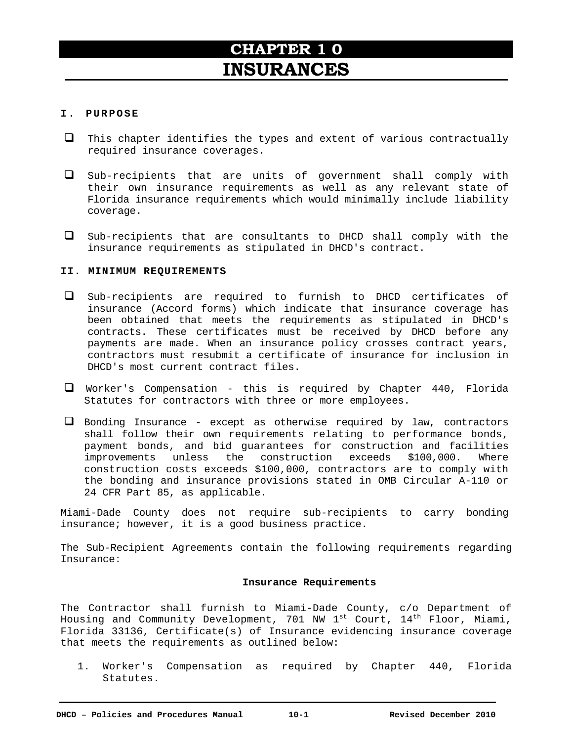# **CHAPTER 1 0 INSURANCES**

# **I . PURPOSE**

- $\Box$  This chapter identifies the types and extent of various contractually required insurance coverages.
- $\Box$  Sub-recipients that are units of government shall comply with their own insurance requirements as well as any relevant state of Florida insurance requirements which would minimally include liability coverage.
- $\Box$  Sub-recipients that are consultants to DHCD shall comply with the insurance requirements as stipulated in DHCD's contract.

# **II. MINIMUM REQUIREMENTS**

- $\Box$  Sub-recipients are required to furnish to DHCD certificates of insurance (Accord forms) which indicate that insurance coverage has been obtained that meets the requirements as stipulated in DHCD's contracts. These certificates must be received by DHCD before any payments are made. When an insurance policy crosses contract years, contractors must resubmit a certificate of insurance for inclusion in DHCD's most current contract files.
- Worker's Compensation this is required by Chapter 440, Florida Statutes for contractors with three or more employees.
- $\Box$  Bonding Insurance except as otherwise required by law, contractors shall follow their own requirements relating to performance bonds, payment bonds, and bid guarantees for construction and facilities improvements unless the construction exceeds \$100,000. Where construction costs exceeds \$100,000, contractors are to comply with the bonding and insurance provisions stated in OMB Circular A-110 or 24 CFR Part 85, as applicable.

Miami-Dade County does not require sub-recipients to carry bonding insurance; however, it is a good business practice.

The Sub-Recipient Agreements contain the following requirements regarding Insurance:

## **Insurance Requirements**

The Contractor shall furnish to Miami-Dade County, c/o Department of Housing and Community Development, 701 NW  $1^{st}$  Court,  $14^{th}$  Floor, Miami, Florida 33136, Certificate(s) of Insurance evidencing insurance coverage that meets the requirements as outlined below:

1. Worker's Compensation as required by Chapter 440, Florida Statutes.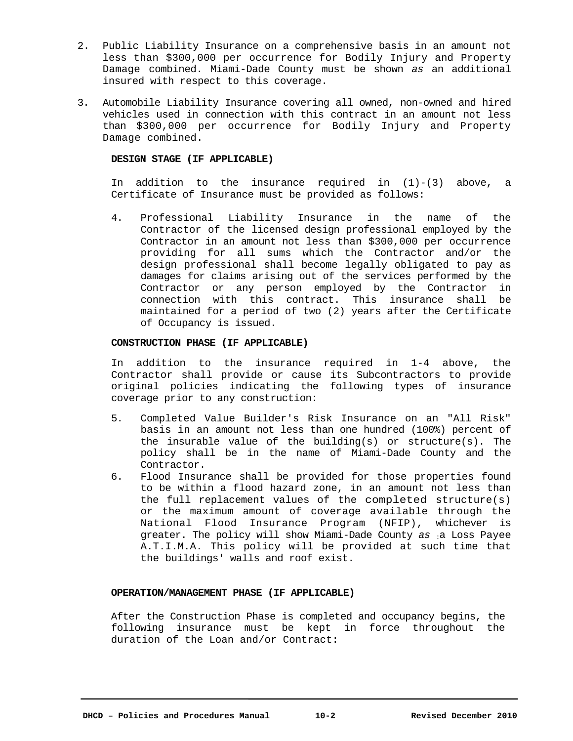- 2. Public Liability Insurance on a comprehensive basis in an amount not less than \$300,000 per occurrence for Bodily Injury and Property Damage combined. Miami-Dade County must be shown *as* an additional insured with respect to this coverage.
- 3. Automobile Liability Insurance covering all owned, non-owned and hired vehicles used in connection with this contract in an amount not less than \$300,000 per occurrence for Bodily Injury and Property Damage combined.

## **DESIGN STAGE (IF APPLICABLE)**

In addition to the insurance required in  $(1)-(3)$  above, a Certificate of Insurance must be provided as follows:

4. Professional Liability Insurance in the name of the Contractor of the licensed design professional employed by the Contractor in an amount not less than \$300,000 per occurrence providing for all sums which the Contractor and/or the design professional shall become legally obligated to pay as damages for claims arising out of the services performed by the Contractor or any person employed by the Contractor in connection with this contract. This insurance shall be maintained for a period of two (2) years after the Certificate of Occupancy is issued.

#### **CONSTRUCTION PHASE (IF APPLICABLE)**

In addition to the insurance required in 1-4 above, the Contractor shall provide or cause its Subcontractors to provide original policies indicating the following types of insurance coverage prior to any construction:

- 5. Completed Value Builder's Risk Insurance on an "All Risk" basis in an amount not less than one hundred (100%) percent of the insurable value of the building(s) or  $structure(s)$ . The policy shall be in the name of Miami-Dade County and the Contractor.
- 6. Flood Insurance shall be provided for those properties found to be within a flood hazard zone, in an amount not less than the full replacement values of the completed structure(s) or the maximum amount of coverage available through the National Flood Insurance Program (NFIP), whichever is greater. The policy will show Miami-Dade County *as* :a Loss Payee A.T.I.M.A. This policy will be provided at such time that the buildings' walls and roof exist.

#### **OPERATION/MANAGEMENT PHASE (IF APPLICABLE)**

After the Construction Phase is completed and occupancy begins, the following insurance must be kept in force throughout the duration of the Loan and/or Contract: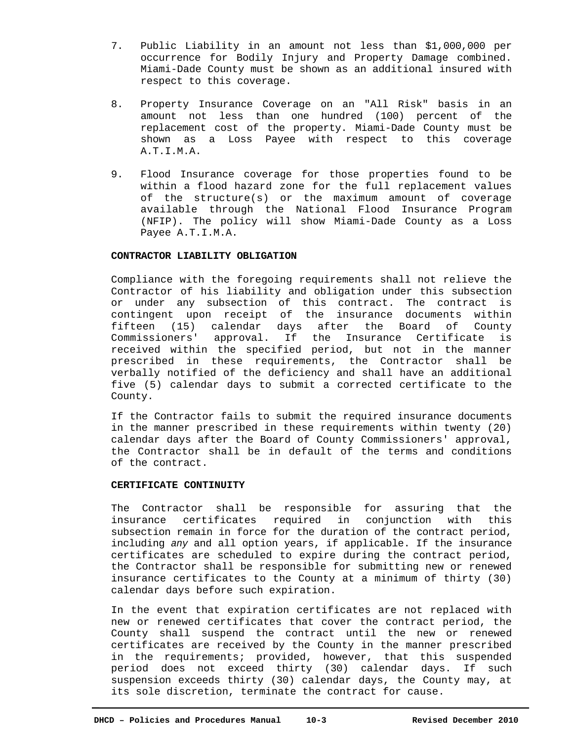- 7. Public Liability in an amount not less than \$1,000,000 per occurrence for Bodily Injury and Property Damage combined. Miami-Dade County must be shown as an additional insured with respect to this coverage.
- 8. Property Insurance Coverage on an "All Risk" basis in an amount not less than one hundred (100) percent of the replacement cost of the property. Miami-Dade County must be shown as a Loss Payee with respect to this coverage A.T.I.M.A.
- 9. Flood Insurance coverage for those properties found to be within a flood hazard zone for the full replacement values of the structure(s) or the maximum amount of coverage available through the National Flood Insurance Program (NFIP). The policy will show Miami-Dade County as a Loss Payee A.T.I.M.A.

## **CONTRACTOR LIABILITY OBLIGATION**

Compliance with the foregoing requirements shall not relieve the Contractor of his liability and obligation under this subsection or under any subsection of this contract. The contract is contingent upon receipt of the insurance documents within fifteen (15) calendar days after the Board of County Commissioners' approval. If the Insurance Certificate is received within the specified period, but not in the manner prescribed in these requirements, the Contractor shall be verbally notified of the deficiency and shall have an additional five (5) calendar days to submit a corrected certificate to the County.

If the Contractor fails to submit the required insurance documents in the manner prescribed in these requirements within twenty (20) calendar days after the Board of County Commissioners' approval, the Contractor shall be in default of the terms and conditions of the contract.

## **CERTIFICATE CONTINUITY**

The Contractor shall be responsible for assuring that the insurance certificates required in conjunction with this subsection remain in force for the duration of the contract period, including *any* and all option years, if applicable. If the insurance certificates are scheduled to expire during the contract period, the Contractor shall be responsible for submitting new or renewed insurance certificates to the County at a minimum of thirty (30) calendar days before such expiration.

In the event that expiration certificates are not replaced with new or renewed certificates that cover the contract period, the County shall suspend the contract until the new or renewed certificates are received by the County in the manner prescribed in the requirements; provided, however, that this suspended period does not exceed thirty (30) calendar days. If such suspension exceeds thirty (30) calendar days, the County may, at its sole discretion, terminate the contract for cause.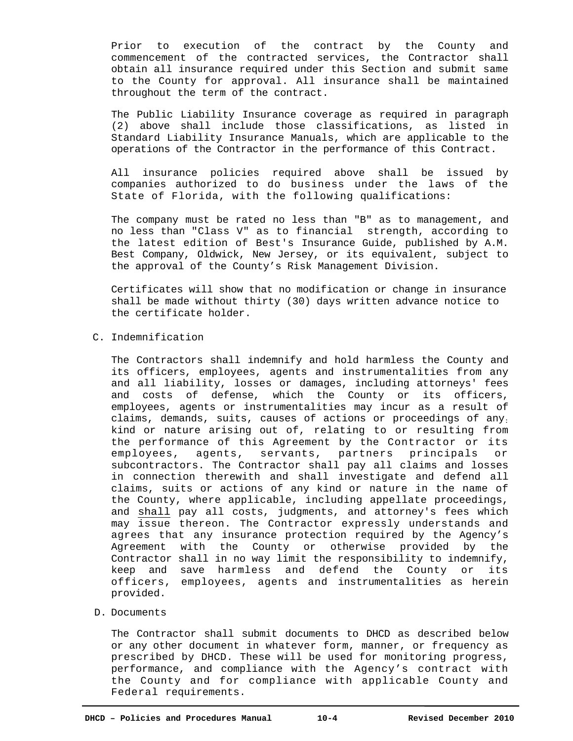Prior to execution of the contract by the County and commencement of the contracted services, the Contractor shall obtain all insurance required under this Section and submit same to the County for approval. All insurance shall be maintained throughout the term of the contract.

The Public Liability Insurance coverage as required in paragraph (2) above shall include those classifications, as listed in Standard Liability Insurance Manuals, which are applicable to the operations of the Contractor in the performance of this Contract.

All insurance policies required above shall be issued by companies authorized to do business under the laws of the State of Florida, with the following qualifications:

The company must be rated no less than "B" as to management, and no less than "Class V" as to financial strength, according to the latest edition of Best's Insurance Guide, published by A.M. Best Company, Oldwick, New Jersey, or its equivalent, subject to the approval of the County's Risk Management Division.

Certificates will show that no modification or change in insurance shall be made without thirty (30) days written advance notice to the certificate holder.

# C. Indemnification

The Contractors shall indemnify and hold harmless the County and its officers, employees, agents and instrumentalities from any and all liability, losses or damages, including attorneys' fees and costs of defense, which the County or its officers, employees, agents or instrumentalities may incur as a result of claims, demands, suits, causes of actions or proceedings of any: kind or nature arising out of, relating to or resulting from the performance of this Agreement by the Contractor or its employees, agents, servants, partners principals or subcontractors. The Contractor shall pay all claims and losses in connection therewith and shall investigate and defend all claims, suits or actions of any kind or nature in the name of the County, where applicable, including appellate proceedings, and shall pay all costs, judgments, and attorney's fees which may issue thereon. The Contractor expressly understands and agrees that any insurance protection required by the Agency's Agreement with the County or otherwise provided by the Contractor shall in no way limit the responsibility to indemnify, keep and save harmless and defend the County or its officers, employees, agents and instrumentalities as herein provided.

D. Documents

The Contractor shall submit documents to DHCD as described below or any other document in whatever form, manner, or frequency as prescribed by DHCD. These will be used for monitoring progress, performance, and compliance with the Agency's contract with the County and for compliance with applicable County and Federal requirements.